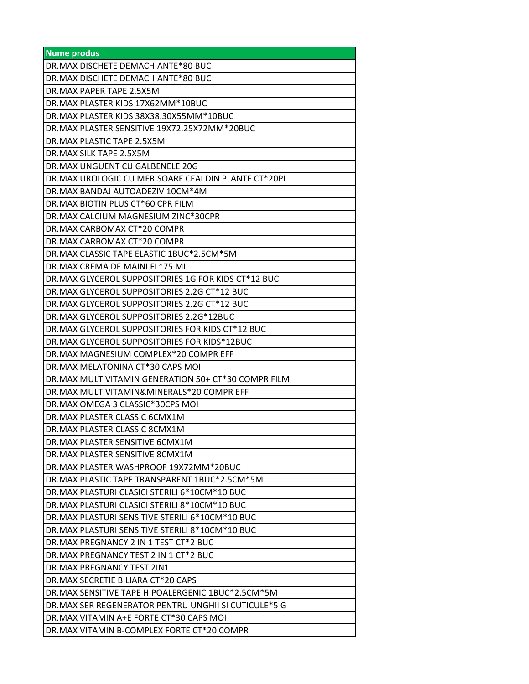| <b>Nume produs</b>                                   |
|------------------------------------------------------|
| DR.MAX DISCHETE DEMACHIANTE*80 BUC                   |
| DR.MAX DISCHETE DEMACHIANTE*80 BUC                   |
| DR.MAX PAPER TAPE 2.5X5M                             |
| DR.MAX PLASTER KIDS 17X62MM*10BUC                    |
| DR.MAX PLASTER KIDS 38X38.30X55MM*10BUC              |
| DR.MAX PLASTER SENSITIVE 19X72.25X72MM*20BUC         |
| DR.MAX PLASTIC TAPE 2.5X5M                           |
| DR.MAX SILK TAPE 2.5X5M                              |
| DR.MAX UNGUENT CU GALBENELE 20G                      |
| DR.MAX UROLOGIC CU MERISOARE CEAI DIN PLANTE CT*20PL |
| DR.MAX BANDAJ AUTOADEZIV 10CM*4M                     |
| DR.MAX BIOTIN PLUS CT*60 CPR FILM                    |
| DR.MAX CALCIUM MAGNESIUM ZINC*30CPR                  |
| DR.MAX CARBOMAX CT*20 COMPR                          |
| DR.MAX CARBOMAX CT*20 COMPR                          |
| DR.MAX CLASSIC TAPE ELASTIC 1BUC*2.5CM*5M            |
| DR.MAX CREMA DE MAINI FL*75 ML                       |
| DR.MAX GLYCEROL SUPPOSITORIES 1G FOR KIDS CT*12 BUC  |
| DR.MAX GLYCEROL SUPPOSITORIES 2.2G CT*12 BUC         |
| DR.MAX GLYCEROL SUPPOSITORIES 2.2G CT*12 BUC         |
| DR.MAX GLYCEROL SUPPOSITORIES 2.2G*12BUC             |
| DR.MAX GLYCEROL SUPPOSITORIES FOR KIDS CT*12 BUC     |
| DR.MAX GLYCEROL SUPPOSITORIES FOR KIDS*12BUC         |
| DR.MAX MAGNESIUM COMPLEX*20 COMPR EFF                |
| DR.MAX MELATONINA CT*30 CAPS MOI                     |
| DR.MAX MULTIVITAMIN GENERATION 50+ CT*30 COMPR FILM  |
| DR.MAX MULTIVITAMIN& MINERALS*20 COMPR EFF           |
| DR.MAX OMEGA 3 CLASSIC*30CPS MOI                     |
| DR.MAX PLASTER CLASSIC 6CMX1M                        |
| DR.MAX PLASTER CLASSIC 8CMX1M                        |
| DR.MAX PLASTER SENSITIVE 6CMX1M                      |
| DR.MAX PLASTER SENSITIVE 8CMX1M                      |
| DR.MAX PLASTER WASHPROOF 19X72MM*20BUC               |
| DR.MAX PLASTIC TAPE TRANSPARENT 1BUC*2.5CM*5M        |
| DR.MAX PLASTURI CLASICI STERILI 6*10CM*10 BUC        |
| DR.MAX PLASTURI CLASICI STERILI 8*10CM*10 BUC        |
| DR.MAX PLASTURI SENSITIVE STERILI 6*10CM*10 BUC      |
| DR.MAX PLASTURI SENSITIVE STERILI 8*10CM*10 BUC      |
| DR.MAX PREGNANCY 2 IN 1 TEST CT*2 BUC                |
| DR.MAX PREGNANCY TEST 2 IN 1 CT*2 BUC                |
| DR.MAX PREGNANCY TEST 2IN1                           |
| DR.MAX SECRETIE BILIARA CT*20 CAPS                   |
| DR.MAX SENSITIVE TAPE HIPOALERGENIC 1BUC*2.5CM*5M    |
| DR.MAX SER REGENERATOR PENTRU UNGHII SI CUTICULE*5 G |
| DR.MAX VITAMIN A+E FORTE CT*30 CAPS MOI              |
| DR.MAX VITAMIN B-COMPLEX FORTE CT*20 COMPR           |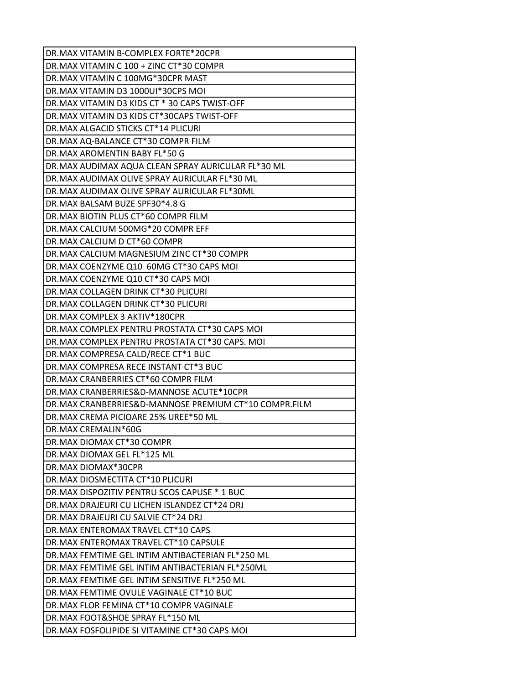| DR.MAX VITAMIN B-COMPLEX FORTE*20CPR                  |
|-------------------------------------------------------|
| IDR.MAX VITAMIN C 100 + ZINC CT*30 COMPR              |
| DR.MAX VITAMIN C 100MG*30CPR MAST                     |
| DR.MAX VITAMIN D3 1000UI*30CPS MOI                    |
| DR.MAX VITAMIN D3 KIDS CT * 30 CAPS TWIST-OFF         |
| DR.MAX VITAMIN D3 KIDS CT*30CAPS TWIST-OFF            |
| IDR.MAX ALGACID STICKS CT*14 PLICURI                  |
| DR.MAX AQ-BALANCE CT*30 COMPR FILM                    |
| DR.MAX AROMENTIN BABY FL*50 G                         |
| DR.MAX AUDIMAX AQUA CLEAN SPRAY AURICULAR FL*30 ML    |
| DR.MAX AUDIMAX OLIVE SPRAY AURICULAR FL*30 ML         |
| IDR.MAX AUDIMAX OLIVE SPRAY AURICULAR FL*30ML         |
| DR.MAX BALSAM BUZE SPF30*4.8 G                        |
| DR.MAX BIOTIN PLUS CT*60 COMPR FILM                   |
| DR.MAX CALCIUM 500MG*20 COMPR EFF                     |
| DR.MAX CALCIUM D CT*60 COMPR                          |
| DR.MAX CALCIUM MAGNESIUM ZINC CT*30 COMPR             |
| DR.MAX COENZYME Q10 60MG CT*30 CAPS MOI               |
| DR.MAX COENZYME Q10 CT*30 CAPS MOI                    |
| DR.MAX COLLAGEN DRINK CT*30 PLICURI                   |
| IDR.MAX COLLAGEN DRINK CT*30 PLICURI                  |
| DR.MAX COMPLEX 3 AKTIV*180CPR                         |
| DR.MAX COMPLEX PENTRU PROSTATA CT*30 CAPS MOI         |
| DR.MAX COMPLEX PENTRU PROSTATA CT*30 CAPS. MOI        |
| DR.MAX COMPRESA CALD/RECE CT*1 BUC                    |
| DR.MAX COMPRESA RECE INSTANT CT*3 BUC                 |
| DR.MAX CRANBERRIES CT*60 COMPR FILM                   |
| DR.MAX CRANBERRIES&D-MANNOSE ACUTE*10CPR              |
| DR.MAX CRANBERRIES&D-MANNOSE PREMIUM CT*10 COMPR.FILM |
| DR.MAX CREMA PICIOARE 25% UREE*50 ML                  |
| IDR.MAX CREMALIN*60G                                  |
| DR.MAX DIOMAX CT*30 COMPR                             |
| DR.MAX DIOMAX GEL FL*125 ML                           |
| DR.MAX DIOMAX*30CPR                                   |
| DR.MAX DIOSMECTITA CT*10 PLICURI                      |
| DR.MAX DISPOZITIV PENTRU SCOS CAPUSE * 1 BUC          |
| DR.MAX DRAJEURI CU LICHEN ISLANDEZ CT*24 DRJ          |
| DR.MAX DRAJEURI CU SALVIE CT*24 DRJ                   |
| DR.MAX ENTEROMAX TRAVEL CT*10 CAPS                    |
| DR.MAX ENTEROMAX TRAVEL CT*10 CAPSULE                 |
| DR.MAX FEMTIME GEL INTIM ANTIBACTERIAN FL*250 ML      |
| DR.MAX FEMTIME GEL INTIM ANTIBACTERIAN FL*250ML       |
| DR.MAX FEMTIME GEL INTIM SENSITIVE FL*250 ML          |
| DR.MAX FEMTIME OVULE VAGINALE CT*10 BUC               |
| DR.MAX FLOR FEMINA CT*10 COMPR VAGINALE               |
| DR.MAX FOOT&SHOE SPRAY FL*150 ML                      |
| DR.MAX FOSFOLIPIDE SI VITAMINE CT*30 CAPS MOI         |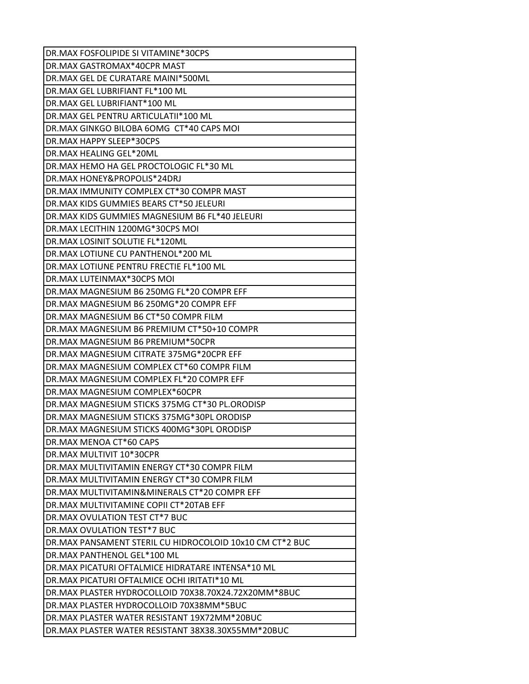| DR.MAX FOSFOLIPIDE SI VITAMINE*30CPS                                                              |
|---------------------------------------------------------------------------------------------------|
| DR.MAX GASTROMAX*40CPR MAST                                                                       |
| DR.MAX GEL DE CURATARE MAINI*500ML                                                                |
| DR.MAX GEL LUBRIFIANT FL*100 ML                                                                   |
| DR.MAX GEL LUBRIFIANT*100 ML                                                                      |
| DR.MAX GEL PENTRU ARTICULATII*100 ML                                                              |
| DR.MAX GINKGO BILOBA 6OMG CT*40 CAPS MOI                                                          |
| DR.MAX HAPPY SLEEP*30CPS                                                                          |
| DR.MAX HEALING GEL*20ML                                                                           |
| DR.MAX HEMO HA GEL PROCTOLOGIC FL*30 ML                                                           |
| DR.MAX HONEY&PROPOLIS*24DRJ                                                                       |
| DR.MAX IMMUNITY COMPLEX CT*30 COMPR MAST                                                          |
| DR.MAX KIDS GUMMIES BEARS CT*50 JELEURI                                                           |
| DR.MAX KIDS GUMMIES MAGNESIUM B6 FL*40 JELEURI                                                    |
| DR.MAX LECITHIN 1200MG*30CPS MOI                                                                  |
| DR.MAX LOSINIT SOLUTIE FL*120ML                                                                   |
| DR.MAX LOTIUNE CU PANTHENOL*200 ML                                                                |
| DR.MAX LOTIUNE PENTRU FRECTIE FL*100 ML                                                           |
| DR.MAX LUTEINMAX*30CPS MOI                                                                        |
| DR.MAX MAGNESIUM B6 250MG FL*20 COMPR EFF                                                         |
| DR.MAX MAGNESIUM B6 250MG*20 COMPR EFF                                                            |
| DR.MAX MAGNESIUM B6 CT*50 COMPR FILM                                                              |
| DR.MAX MAGNESIUM B6 PREMIUM CT*50+10 COMPR                                                        |
| DR.MAX MAGNESIUM B6 PREMIUM*50CPR                                                                 |
| DR.MAX MAGNESIUM CITRATE 375MG*20CPR EFF                                                          |
| DR.MAX MAGNESIUM COMPLEX CT*60 COMPR FILM                                                         |
| DR.MAX MAGNESIUM COMPLEX FL*20 COMPR EFF                                                          |
| DR.MAX MAGNESIUM COMPLEX*60CPR                                                                    |
| DR.MAX MAGNESIUM STICKS 375MG CT*30 PL.ORODISP                                                    |
| DR.MAX MAGNESIUM STICKS 375MG*30PL ORODISP                                                        |
| DR.MAX MAGNESIUM STICKS 400MG*30PL ORODISP                                                        |
| DR.MAX MENOA CT*60 CAPS                                                                           |
| DR.MAX MULTIVIT 10*30CPR                                                                          |
| DR.MAX MULTIVITAMIN ENERGY CT*30 COMPR FILM                                                       |
| DR.MAX MULTIVITAMIN ENERGY CT*30 COMPR FILM                                                       |
| DR.MAX MULTIVITAMIN& MINERALS CT*20 COMPR EFF                                                     |
| DR.MAX MULTIVITAMINE COPII CT*20TAB EFF                                                           |
| DR.MAX OVULATION TEST CT*7 BUC                                                                    |
| DR.MAX OVULATION TEST*7 BUC                                                                       |
| DR.MAX PANSAMENT STERIL CU HIDROCOLOID 10x10 CM CT*2 BUC                                          |
| DR.MAX PANTHENOL GEL*100 ML                                                                       |
| DR.MAX PICATURI OFTALMICE HIDRATARE INTENSA*10 ML<br>DR.MAX PICATURI OFTALMICE OCHI IRITATI*10 ML |
|                                                                                                   |
| DR.MAX PLASTER HYDROCOLLOID 70X38.70X24.72X20MM*8BUC<br>DR.MAX PLASTER HYDROCOLLOID 70X38MM*5BUC  |
|                                                                                                   |
| DR.MAX PLASTER WATER RESISTANT 19X72MM*20BUC                                                      |
| DR.MAX PLASTER WATER RESISTANT 38X38.30X55MM*20BUC                                                |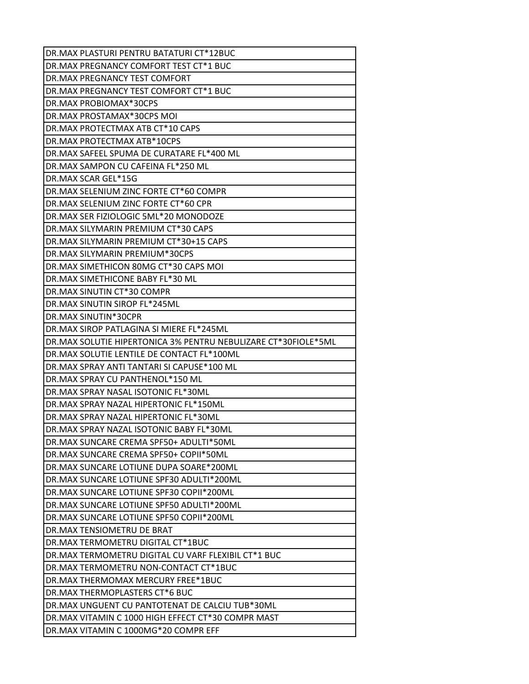| DR.MAX PLASTURI PENTRU BATATURI CT*12BUC                       |
|----------------------------------------------------------------|
| DR.MAX PREGNANCY COMFORT TEST CT*1 BUC                         |
| <b>DR.MAX PREGNANCY TEST COMFORT</b>                           |
| DR.MAX PREGNANCY TEST COMFORT CT*1 BUC                         |
| DR.MAX PROBIOMAX*30CPS                                         |
| DR.MAX PROSTAMAX*30CPS MOI                                     |
| DR.MAX PROTECTMAX ATB CT*10 CAPS                               |
| DR.MAX PROTECTMAX ATB*10CPS                                    |
| DR.MAX SAFEEL SPUMA DE CURATARE FL*400 ML                      |
| DR.MAX SAMPON CU CAFEINA FL*250 ML                             |
| DR.MAX SCAR GEL*15G                                            |
| DR.MAX SELENIUM ZINC FORTE CT*60 COMPR                         |
| DR.MAX SELENIUM ZINC FORTE CT*60 CPR                           |
| DR.MAX SER FIZIOLOGIC 5ML*20 MONODOZE                          |
| DR.MAX SILYMARIN PREMIUM CT*30 CAPS                            |
| DR.MAX SILYMARIN PREMIUM CT*30+15 CAPS                         |
| DR.MAX SILYMARIN PREMIUM*30CPS                                 |
| DR.MAX SIMETHICON 80MG CT*30 CAPS MOI                          |
| DR.MAX SIMETHICONE BABY FL*30 ML                               |
| DR.MAX SINUTIN CT*30 COMPR                                     |
| DR.MAX SINUTIN SIROP FL*245ML                                  |
| DR.MAX SINUTIN*30CPR                                           |
| DR.MAX SIROP PATLAGINA SI MIERE FL*245ML                       |
| DR.MAX SOLUTIE HIPERTONICA 3% PENTRU NEBULIZARE CT*30FIOLE*5ML |
| DR.MAX SOLUTIE LENTILE DE CONTACT FL*100ML                     |
| DR.MAX SPRAY ANTI TANTARI SI CAPUSE*100 ML                     |
| DR.MAX SPRAY CU PANTHENOL*150 ML                               |
| DR.MAX SPRAY NASAL ISOTONIC FL*30ML                            |
| DR.MAX SPRAY NAZAL HIPERTONIC FL*150ML                         |
| DR.MAX SPRAY NAZAL HIPERTONIC FL*30ML                          |
| DR.MAX SPRAY NAZAL ISOTONIC BABY FL*30ML                       |
| DR.MAX SUNCARE CREMA SPF50+ ADULTI*50ML                        |
| DR.MAX SUNCARE CREMA SPF50+ COPII*50ML                         |
| DR.MAX SUNCARE LOTIUNE DUPA SOARE*200ML                        |
| DR.MAX SUNCARE LOTIUNE SPF30 ADULTI*200ML                      |
| DR.MAX SUNCARE LOTIUNE SPF30 COPII*200ML                       |
| DR.MAX SUNCARE LOTIUNE SPF50 ADULTI*200ML                      |
| DR.MAX SUNCARE LOTIUNE SPF50 COPII*200ML                       |
| DR.MAX TENSIOMETRU DE BRAT                                     |
| DR.MAX TERMOMETRU DIGITAL CT*1BUC                              |
| DR.MAX TERMOMETRU DIGITAL CU VARF FLEXIBIL CT*1 BUC            |
| DR.MAX TERMOMETRU NON-CONTACT CT*1BUC                          |
| DR.MAX THERMOMAX MERCURY FREE*1BUC                             |
| DR.MAX THERMOPLASTERS CT*6 BUC                                 |
| DR.MAX UNGUENT CU PANTOTENAT DE CALCIU TUB*30ML                |
| DR.MAX VITAMIN C 1000 HIGH EFFECT CT*30 COMPR MAST             |
| DR.MAX VITAMIN C 1000MG*20 COMPR EFF                           |